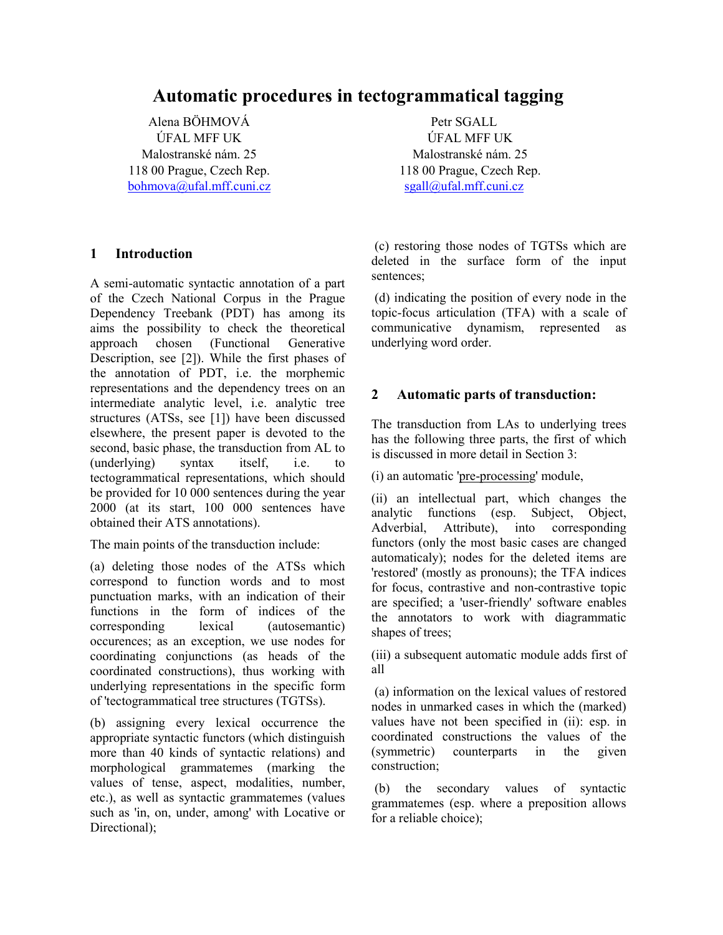# **Automatic procedures in tectogrammatical tagging**

Alena BÖHMOVÁ ÚFAL MFF UK Malostranské nám. 25 118 00 Prague, Czech Rep. [bohmova@ufal.mff.cuni.cz](mailto:bohmova@ufal.mff.cuni.cz)

## **1 Introduction**

A semi-automatic syntactic annotation of a part of the Czech National Corpus in the Prague Dependency Treebank (PDT) has among its aims the possibility to check the theoretical approach chosen (Functional Generative Description, see [2]). While the first phases of the annotation of PDT, i.e. the morphemic representations and the dependency trees on an intermediate analytic level, i.e. analytic tree structures (ATSs, see [1]) have been discussed elsewhere, the present paper is devoted to the second, basic phase, the transduction from AL to (underlying) syntax itself, i.e. to tectogrammatical representations, which should be provided for 10 000 sentences during the year 2000 (at its start, 100 000 sentences have obtained their ATS annotations).

The main points of the transduction include:

(a) deleting those nodes of the ATSs which correspond to function words and to most punctuation marks, with an indication of their functions in the form of indices of the corresponding lexical (autosemantic) occurences; as an exception, we use nodes for coordinating conjunctions (as heads of the coordinated constructions), thus working with underlying representations in the specific form of 'tectogrammatical tree structures (TGTSs).

(b) assigning every lexical occurrence the appropriate syntactic functors (which distinguish more than 40 kinds of syntactic relations) and morphological grammatemes (marking the values of tense, aspect, modalities, number, etc.), as well as syntactic grammatemes (values such as 'in, on, under, among' with Locative or Directional):

Petr SGALL ÚFAL MFF UK Malostranské nám. 25 118 00 Prague, Czech Rep. [sgall@ufal.mff.cuni.cz](mailto:bohmova@ufal.mff.cuni.cz)

 (c) restoring those nodes of TGTSs which are deleted in the surface form of the input sentences;

 (d) indicating the position of every node in the topic-focus articulation (TFA) with a scale of communicative dynamism, represented as underlying word order.

## **2 Automatic parts of transduction:**

The transduction from LAs to underlying trees has the following three parts, the first of which is discussed in more detail in Section 3:

(i) an automatic 'pre-processing' module,

(ii) an intellectual part, which changes the analytic functions (esp. Subject, Object, Adverbial, Attribute), into corresponding functors (only the most basic cases are changed automaticaly); nodes for the deleted items are 'restored' (mostly as pronouns); the TFA indices for focus, contrastive and non-contrastive topic are specified; a 'user-friendly' software enables the annotators to work with diagrammatic shapes of trees;

(iii) a subsequent automatic module adds first of all

 (a) information on the lexical values of restored nodes in unmarked cases in which the (marked) values have not been specified in (ii): esp. in coordinated constructions the values of the (symmetric) counterparts in the given construction;

 (b) the secondary values of syntactic grammatemes (esp. where a preposition allows for a reliable choice);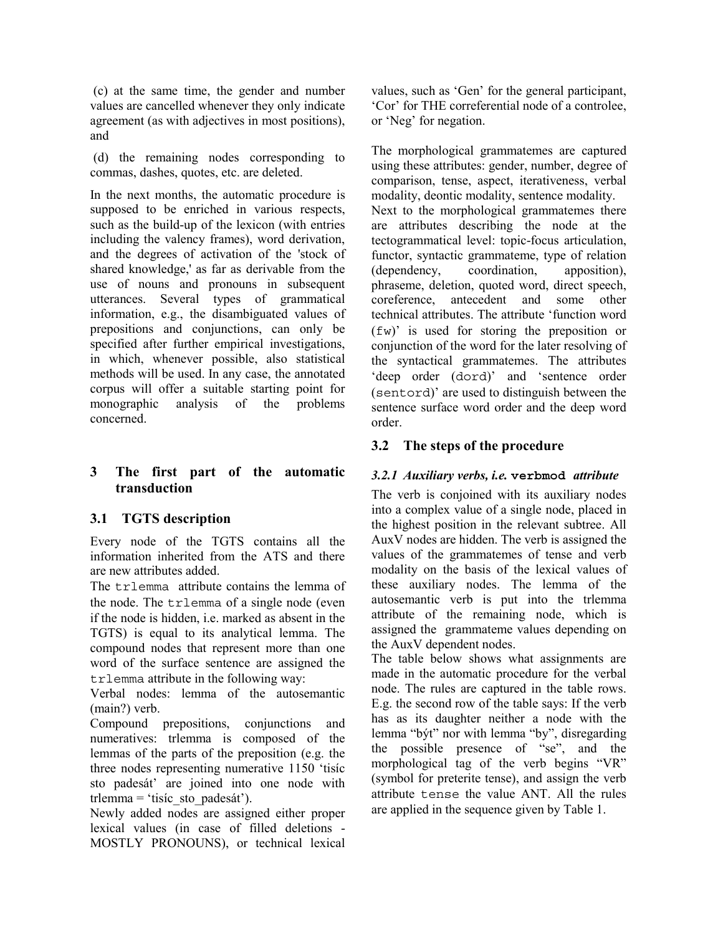(c) at the same time, the gender and number values are cancelled whenever they only indicate agreement (as with adjectives in most positions), and

 (d) the remaining nodes corresponding to commas, dashes, quotes, etc. are deleted.

In the next months, the automatic procedure is supposed to be enriched in various respects, such as the build-up of the lexicon (with entries including the valency frames), word derivation, and the degrees of activation of the 'stock of shared knowledge,' as far as derivable from the use of nouns and pronouns in subsequent utterances. Several types of grammatical information, e.g., the disambiguated values of prepositions and conjunctions, can only be specified after further empirical investigations, in which, whenever possible, also statistical methods will be used. In any case, the annotated corpus will offer a suitable starting point for monographic analysis of the problems concerned.

# **3 The first part of the automatic transduction**

# **3.1 TGTS description**

Every node of the TGTS contains all the information inherited from the ATS and there are new attributes added.

The trlemma attribute contains the lemma of the node. The trlemma of a single node (even if the node is hidden, i.e. marked as absent in the TGTS) is equal to its analytical lemma. The compound nodes that represent more than one word of the surface sentence are assigned the trlemma attribute in the following way:

Verbal nodes: lemma of the autosemantic (main?) verb.

Compound prepositions, conjunctions and numeratives: trlemma is composed of the lemmas of the parts of the preposition (e.g. the three nodes representing numerative 1150 'tisíc sto padesát' are joined into one node with trlemma = 'tisíc sto padesát').

Newly added nodes are assigned either proper lexical values (in case of filled deletions - MOSTLY PRONOUNS), or technical lexical values, such as 'Gen' for the general participant, 'Cor' for THE correferential node of a controlee, or 'Neg' for negation.

The morphological grammatemes are captured using these attributes: gender, number, degree of comparison, tense, aspect, iterativeness, verbal modality, deontic modality, sentence modality. Next to the morphological grammatemes there are attributes describing the node at the tectogrammatical level: topic-focus articulation, functor, syntactic grammateme, type of relation (dependency, coordination, apposition), phraseme, deletion, quoted word, direct speech, coreference, antecedent and some other technical attributes. The attribute 'function word (fw)' is used for storing the preposition or conjunction of the word for the later resolving of the syntactical grammatemes. The attributes 'deep order (dord)' and 'sentence order (sentord)' are used to distinguish between the sentence surface word order and the deep word order.

# **3.2 The steps of the procedure**

# *3.2.1 Auxiliary verbs, i.e.* **verbmod** *attribute*

The verb is conjoined with its auxiliary nodes into a complex value of a single node, placed in the highest position in the relevant subtree. All AuxV nodes are hidden. The verb is assigned the values of the grammatemes of tense and verb modality on the basis of the lexical values of these auxiliary nodes. The lemma of the autosemantic verb is put into the trlemma attribute of the remaining node, which is assigned the grammateme values depending on the AuxV dependent nodes.

The table below shows what assignments are made in the automatic procedure for the verbal node. The rules are captured in the table rows. E.g. the second row of the table says: If the verb has as its daughter neither a node with the lemma "být" nor with lemma "by", disregarding the possible presence of "se", and the morphological tag of the verb begins "VR" (symbol for preterite tense), and assign the verb attribute tense the value ANT. All the rules are applied in the sequence given by Table 1.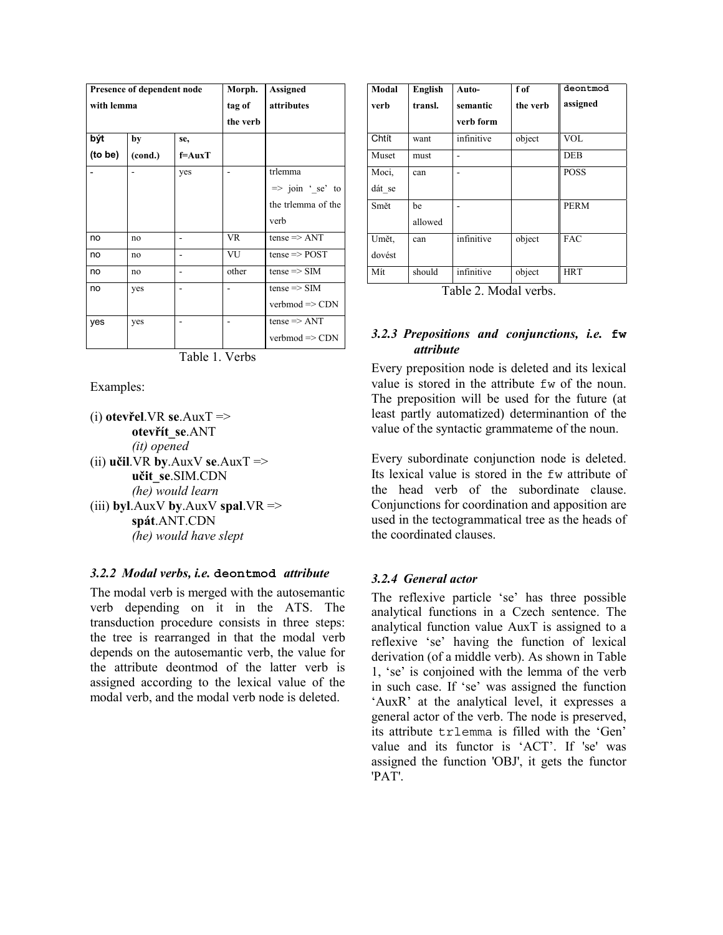|            | Presence of dependent node |            | Morph.    | <b>Assigned</b>            |
|------------|----------------------------|------------|-----------|----------------------------|
| with lemma |                            |            | tag of    | attributes                 |
|            |                            |            | the verb  |                            |
| být        | by                         | se,        |           |                            |
| (to be)    | (cond.)                    | $f = AuxT$ |           |                            |
|            |                            | yes        |           | trlemma                    |
|            |                            |            |           | $\Rightarrow$ join 'se' to |
|            |                            |            |           | the trlemma of the         |
|            |                            |            |           | verb                       |
| no         | no                         |            | <b>VR</b> | $tense \Rightarrow ANT$    |
| no         | no                         |            | VU        | $tense \Rightarrow POST$   |
| no         | no                         |            | other     | $tense \Rightarrow SIM$    |
| no         | yes                        |            |           | $tense \Rightarrow SIM$    |
|            |                            |            |           | $verbmod \Rightarrow CDN$  |
| yes        | yes                        |            |           | $tense \Rightarrow ANT$    |
|            |                            |            |           | $verbmod \Rightarrow CDN$  |

Table 1. Verbs

Examples:

 $(i)$  **otevřel**.VR **se**.AuxT => **otevřít\_se**.ANT *(it) opened*  $(iii)$  **učil**.VR **by**.AuxV **se**.AuxT => **učit\_se**.SIM.CDN *(he) would learn* (iii) **byl**.AuxV **by**.AuxV **spal**.VR => **spát**.ANT.CDN *(he) would have slept*

### *3.2.2 Modal verbs, i.e.* **deontmod** *attribute*

The modal verb is merged with the autosemantic verb depending on it in the ATS. The transduction procedure consists in three steps: the tree is rearranged in that the modal verb depends on the autosemantic verb, the value for the attribute deontmod of the latter verb is assigned according to the lexical value of the modal verb, and the modal verb node is deleted.

| Modal  | English | Auto-      | f of     | deontmod    |
|--------|---------|------------|----------|-------------|
| verb   | transl. | semantic   | the verb | assigned    |
|        |         | verb form  |          |             |
| Chtít  | want    | infinitive | object   | <b>VOL</b>  |
| Muset  | must    |            |          | <b>DEB</b>  |
| Moci,  | can     |            |          | <b>POSS</b> |
| dát se |         |            |          |             |
| Smět   | be      |            |          | <b>PERM</b> |
|        | allowed |            |          |             |
| Umět.  | can     | infinitive | object   | <b>FAC</b>  |
| dovést |         |            |          |             |
| Mít    | should  | infinitive | object   | <b>HRT</b>  |

Table 2. Modal verbs.

# *3.2.3 Prepositions and conjunctions, i.e.* **fw** *attribute*

Every preposition node is deleted and its lexical value is stored in the attribute fw of the noun. The preposition will be used for the future (at least partly automatized) determinantion of the value of the syntactic grammateme of the noun.

Every subordinate conjunction node is deleted. Its lexical value is stored in the fw attribute of the head verb of the subordinate clause. Conjunctions for coordination and apposition are used in the tectogrammatical tree as the heads of the coordinated clauses.

### *3.2.4 General actor*

The reflexive particle 'se' has three possible analytical functions in a Czech sentence. The analytical function value AuxT is assigned to a reflexive 'se' having the function of lexical derivation (of a middle verb). As shown in Table 1, 'se' is conjoined with the lemma of the verb in such case. If 'se' was assigned the function 'AuxR' at the analytical level, it expresses a general actor of the verb. The node is preserved, its attribute trlemma is filled with the 'Gen' value and its functor is 'ACT'. If 'se' was assigned the function 'OBJ', it gets the functor 'PAT'.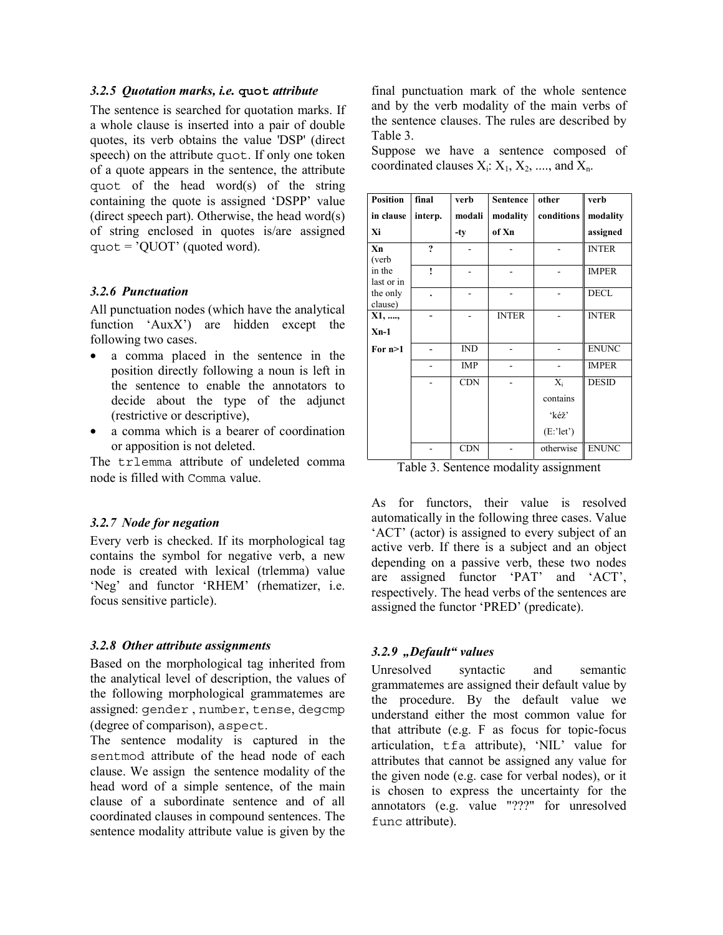#### *3.2.5 Quotation marks, i.e.* **quot** *attribute*

The sentence is searched for quotation marks. If a whole clause is inserted into a pair of double quotes, its verb obtains the value 'DSP' (direct speech) on the attribute quot. If only one token of a quote appears in the sentence, the attribute quot of the head word(s) of the string containing the quote is assigned 'DSPP' value (direct speech part). Otherwise, the head word(s) of string enclosed in quotes is/are assigned  $quot = 'QUOT'$  (quoted word).

### *3.2.6 Punctuation*

All punctuation nodes (which have the analytical function 'AuxX') are hidden except the following two cases.

- a comma placed in the sentence in the position directly following a noun is left in the sentence to enable the annotators to decide about the type of the adjunct (restrictive or descriptive),
- a comma which is a bearer of coordination or apposition is not deleted.

The trlemma attribute of undeleted comma node is filled with Comma value.

#### *3.2.7 Node for negation*

Every verb is checked. If its morphological tag contains the symbol for negative verb, a new node is created with lexical (trlemma) value 'Neg' and functor 'RHEM' (rhematizer, i.e. focus sensitive particle).

#### *3.2.8 Other attribute assignments*

Based on the morphological tag inherited from the analytical level of description, the values of the following morphological grammatemes are assigned: gender , number, tense, degcmp (degree of comparison), aspect.

The sentence modality is captured in the sentmod attribute of the head node of each clause. We assign the sentence modality of the head word of a simple sentence, of the main clause of a subordinate sentence and of all coordinated clauses in compound sentences. The sentence modality attribute value is given by the final punctuation mark of the whole sentence and by the verb modality of the main verbs of the sentence clauses. The rules are described by Table 3.

Suppose we have a sentence composed of coordinated clauses  $X_i: X_1, X_2, \ldots$ , and  $X_n$ .

| <b>Position</b>      | final   | verb       | <b>Sentence</b> | other        | verb         |
|----------------------|---------|------------|-----------------|--------------|--------------|
| in clause            | interp. | modali     | modality        | conditions   | modality     |
| Xi                   |         | -ty        | of Xn           |              | assigned     |
| Xn<br>(verb          | 2       |            |                 |              | <b>INTER</b> |
| in the<br>last or in | ١       |            |                 |              | <b>IMPER</b> |
| the only<br>clause)  |         |            |                 |              | <b>DECL</b>  |
| X1, ,                |         |            | <b>INTER</b>    |              | <b>INTER</b> |
| $X_{n-1}$            |         |            |                 |              |              |
| For $n>1$            |         | IND        |                 |              | <b>ENUNC</b> |
|                      |         | <b>IMP</b> |                 |              | <b>IMPER</b> |
|                      |         | <b>CDN</b> |                 | $X_i$        | <b>DESID</b> |
|                      |         |            |                 | contains     |              |
|                      |         |            |                 | 'kéž'        |              |
|                      |         |            |                 | $(E$ :'let') |              |
|                      |         | <b>CDN</b> |                 | otherwise    | <b>ENUNC</b> |

Table 3. Sentence modality assignment

As for functors, their value is resolved automatically in the following three cases. Value 'ACT' (actor) is assigned to every subject of an active verb. If there is a subject and an object depending on a passive verb, these two nodes are assigned functor 'PAT' and 'ACT', respectively. The head verbs of the sentences are assigned the functor 'PRED' (predicate).

#### *3.2.9 "Default" values*

Unresolved syntactic and semantic grammatemes are assigned their default value by the procedure. By the default value we understand either the most common value for that attribute (e.g. F as focus for topic-focus articulation, tfa attribute), 'NIL' value for attributes that cannot be assigned any value for the given node (e.g. case for verbal nodes), or it is chosen to express the uncertainty for the annotators (e.g. value "???" for unresolved func attribute).